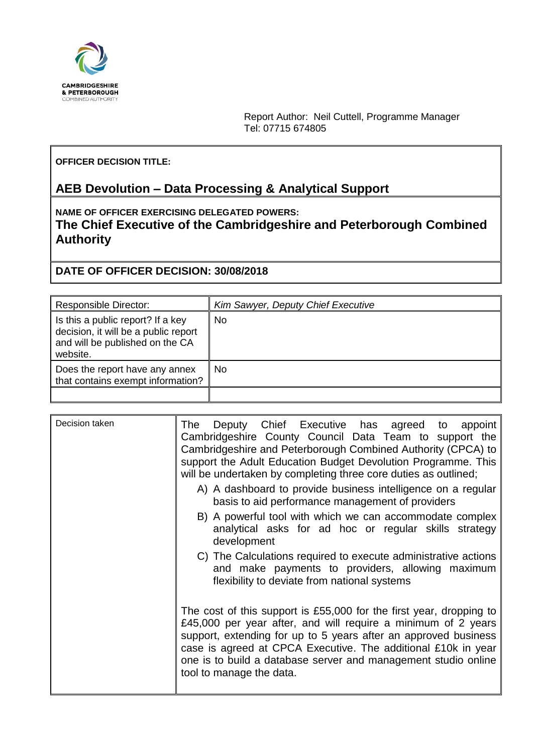

Report Author: Neil Cuttell, Programme Manager Tel: 07715 674805

#### **OFFICER DECISION TITLE:**

# **AEB Devolution – Data Processing & Analytical Support**

**NAME OF OFFICER EXERCISING DELEGATED POWERS: The Chief Executive of the Cambridgeshire and Peterborough Combined Authority**

**DATE OF OFFICER DECISION: 30/08/2018**

| <b>Responsible Director:</b>                                                                                             | Kim Sawyer, Deputy Chief Executive |
|--------------------------------------------------------------------------------------------------------------------------|------------------------------------|
| Is this a public report? If a key<br>decision, it will be a public report<br>and will be published on the CA<br>website. | No.                                |
| Does the report have any annex<br>that contains exempt information?                                                      | No                                 |
|                                                                                                                          |                                    |

| Decision taken | Deputy Chief Executive has agreed to appoint<br>The<br>Cambridgeshire County Council Data Team to support the                                                                                                                                                                                                                                                          |
|----------------|------------------------------------------------------------------------------------------------------------------------------------------------------------------------------------------------------------------------------------------------------------------------------------------------------------------------------------------------------------------------|
|                | Cambridgeshire and Peterborough Combined Authority (CPCA) to<br>support the Adult Education Budget Devolution Programme. This<br>will be undertaken by completing three core duties as outlined;                                                                                                                                                                       |
|                | A) A dashboard to provide business intelligence on a regular<br>basis to aid performance management of providers                                                                                                                                                                                                                                                       |
|                | B) A powerful tool with which we can accommodate complex<br>analytical asks for ad hoc or regular skills strategy<br>development                                                                                                                                                                                                                                       |
|                | C) The Calculations required to execute administrative actions<br>and make payments to providers, allowing maximum<br>flexibility to deviate from national systems                                                                                                                                                                                                     |
|                | The cost of this support is £55,000 for the first year, dropping to<br>£45,000 per year after, and will require a minimum of 2 years<br>support, extending for up to 5 years after an approved business<br>case is agreed at CPCA Executive. The additional £10k in year<br>one is to build a database server and management studio online<br>tool to manage the data. |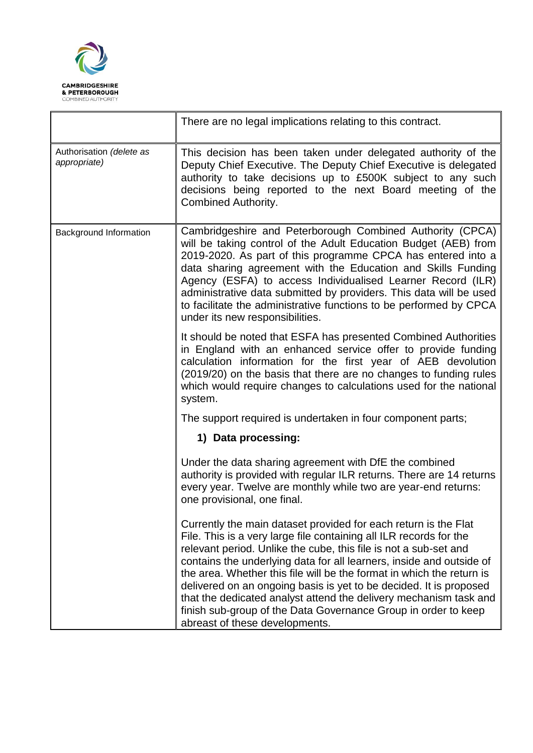

|                                          | There are no legal implications relating to this contract.                                                                                                                                                                                                                                                                                                                                                                                                                                                                                                                                                |  |
|------------------------------------------|-----------------------------------------------------------------------------------------------------------------------------------------------------------------------------------------------------------------------------------------------------------------------------------------------------------------------------------------------------------------------------------------------------------------------------------------------------------------------------------------------------------------------------------------------------------------------------------------------------------|--|
| Authorisation (delete as<br>appropriate) | This decision has been taken under delegated authority of the<br>Deputy Chief Executive. The Deputy Chief Executive is delegated<br>authority to take decisions up to £500K subject to any such<br>decisions being reported to the next Board meeting of the<br><b>Combined Authority.</b>                                                                                                                                                                                                                                                                                                                |  |
| Background Information                   | Cambridgeshire and Peterborough Combined Authority (CPCA)<br>will be taking control of the Adult Education Budget (AEB) from<br>2019-2020. As part of this programme CPCA has entered into a<br>data sharing agreement with the Education and Skills Funding<br>Agency (ESFA) to access Individualised Learner Record (ILR)<br>administrative data submitted by providers. This data will be used<br>to facilitate the administrative functions to be performed by CPCA<br>under its new responsibilities.                                                                                                |  |
|                                          | It should be noted that ESFA has presented Combined Authorities<br>in England with an enhanced service offer to provide funding<br>calculation information for the first year of AEB devolution<br>(2019/20) on the basis that there are no changes to funding rules<br>which would require changes to calculations used for the national<br>system.                                                                                                                                                                                                                                                      |  |
|                                          | The support required is undertaken in four component parts;                                                                                                                                                                                                                                                                                                                                                                                                                                                                                                                                               |  |
|                                          | 1) Data processing:                                                                                                                                                                                                                                                                                                                                                                                                                                                                                                                                                                                       |  |
|                                          | Under the data sharing agreement with DfE the combined<br>authority is provided with regular ILR returns. There are 14 returns<br>every year. Twelve are monthly while two are year-end returns:<br>one provisional, one final.                                                                                                                                                                                                                                                                                                                                                                           |  |
|                                          | Currently the main dataset provided for each return is the Flat<br>File. This is a very large file containing all ILR records for the<br>relevant period. Unlike the cube, this file is not a sub-set and<br>contains the underlying data for all learners, inside and outside of<br>the area. Whether this file will be the format in which the return is<br>delivered on an ongoing basis is yet to be decided. It is proposed<br>that the dedicated analyst attend the delivery mechanism task and<br>finish sub-group of the Data Governance Group in order to keep<br>abreast of these developments. |  |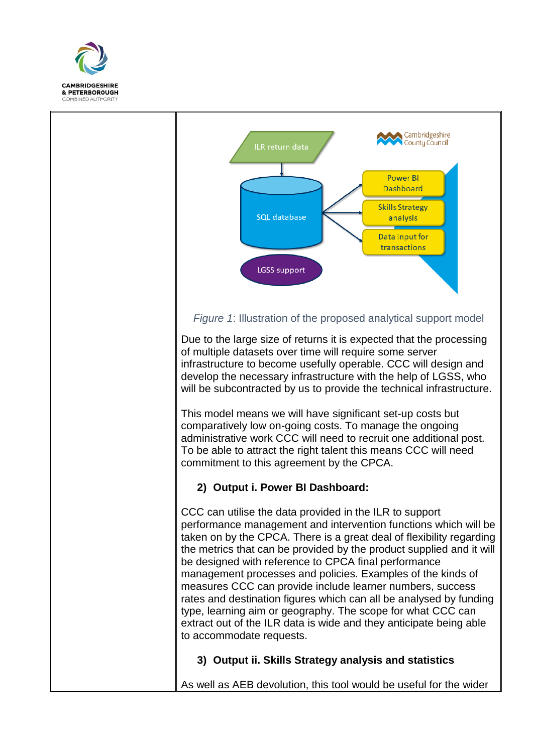



### *Figure 1*: Illustration of the proposed analytical support model

Due to the large size of returns it is expected that the processing of multiple datasets over time will require some server infrastructure to become usefully operable. CCC will design and develop the necessary infrastructure with the help of LGSS, who will be subcontracted by us to provide the technical infrastructure.

This model means we will have significant set-up costs but comparatively low on-going costs. To manage the ongoing administrative work CCC will need to recruit one additional post. To be able to attract the right talent this means CCC will need commitment to this agreement by the CPCA.

## **2) Output i. Power BI Dashboard:**

CCC can utilise the data provided in the ILR to support performance management and intervention functions which will be taken on by the CPCA. There is a great deal of flexibility regarding the metrics that can be provided by the product supplied and it will be designed with reference to CPCA final performance management processes and policies. Examples of the kinds of measures CCC can provide include learner numbers, success rates and destination figures which can all be analysed by funding type, learning aim or geography. The scope for what CCC can extract out of the ILR data is wide and they anticipate being able to accommodate requests.

### **3) Output ii. Skills Strategy analysis and statistics**

As well as AEB devolution, this tool would be useful for the wider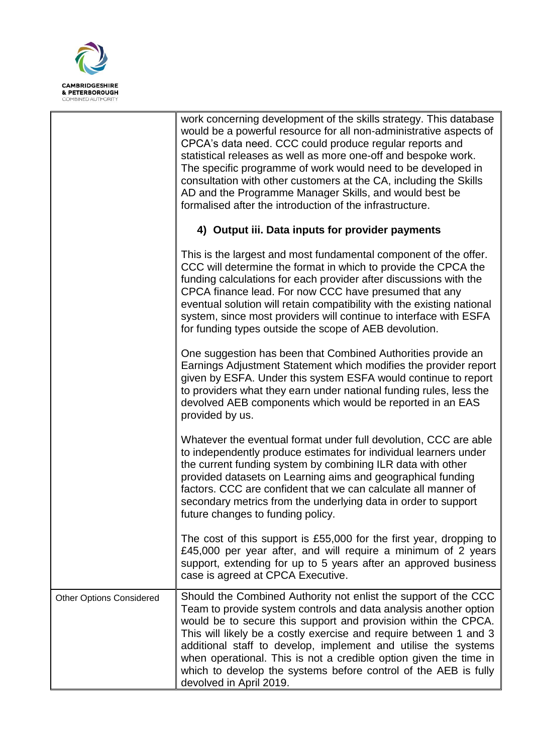

|                                 | work concerning development of the skills strategy. This database<br>would be a powerful resource for all non-administrative aspects of<br>CPCA's data need. CCC could produce regular reports and<br>statistical releases as well as more one-off and bespoke work.<br>The specific programme of work would need to be developed in<br>consultation with other customers at the CA, including the Skills<br>AD and the Programme Manager Skills, and would best be<br>formalised after the introduction of the infrastructure. |
|---------------------------------|---------------------------------------------------------------------------------------------------------------------------------------------------------------------------------------------------------------------------------------------------------------------------------------------------------------------------------------------------------------------------------------------------------------------------------------------------------------------------------------------------------------------------------|
|                                 | 4) Output iii. Data inputs for provider payments                                                                                                                                                                                                                                                                                                                                                                                                                                                                                |
|                                 | This is the largest and most fundamental component of the offer.<br>CCC will determine the format in which to provide the CPCA the<br>funding calculations for each provider after discussions with the<br>CPCA finance lead. For now CCC have presumed that any<br>eventual solution will retain compatibility with the existing national<br>system, since most providers will continue to interface with ESFA<br>for funding types outside the scope of AEB devolution.                                                       |
|                                 | One suggestion has been that Combined Authorities provide an<br>Earnings Adjustment Statement which modifies the provider report<br>given by ESFA. Under this system ESFA would continue to report<br>to providers what they earn under national funding rules, less the<br>devolved AEB components which would be reported in an EAS<br>provided by us.                                                                                                                                                                        |
|                                 | Whatever the eventual format under full devolution, CCC are able<br>to independently produce estimates for individual learners under<br>the current funding system by combining ILR data with other<br>provided datasets on Learning aims and geographical funding<br>factors. CCC are confident that we can calculate all manner of<br>secondary metrics from the underlying data in order to support<br>future changes to funding policy.                                                                                     |
|                                 | The cost of this support is £55,000 for the first year, dropping to<br>£45,000 per year after, and will require a minimum of 2 years<br>support, extending for up to 5 years after an approved business<br>case is agreed at CPCA Executive.                                                                                                                                                                                                                                                                                    |
| <b>Other Options Considered</b> | Should the Combined Authority not enlist the support of the CCC<br>Team to provide system controls and data analysis another option<br>would be to secure this support and provision within the CPCA.<br>This will likely be a costly exercise and require between 1 and 3<br>additional staff to develop, implement and utilise the systems<br>when operational. This is not a credible option given the time in<br>which to develop the systems before control of the AEB is fully<br>devolved in April 2019.                 |